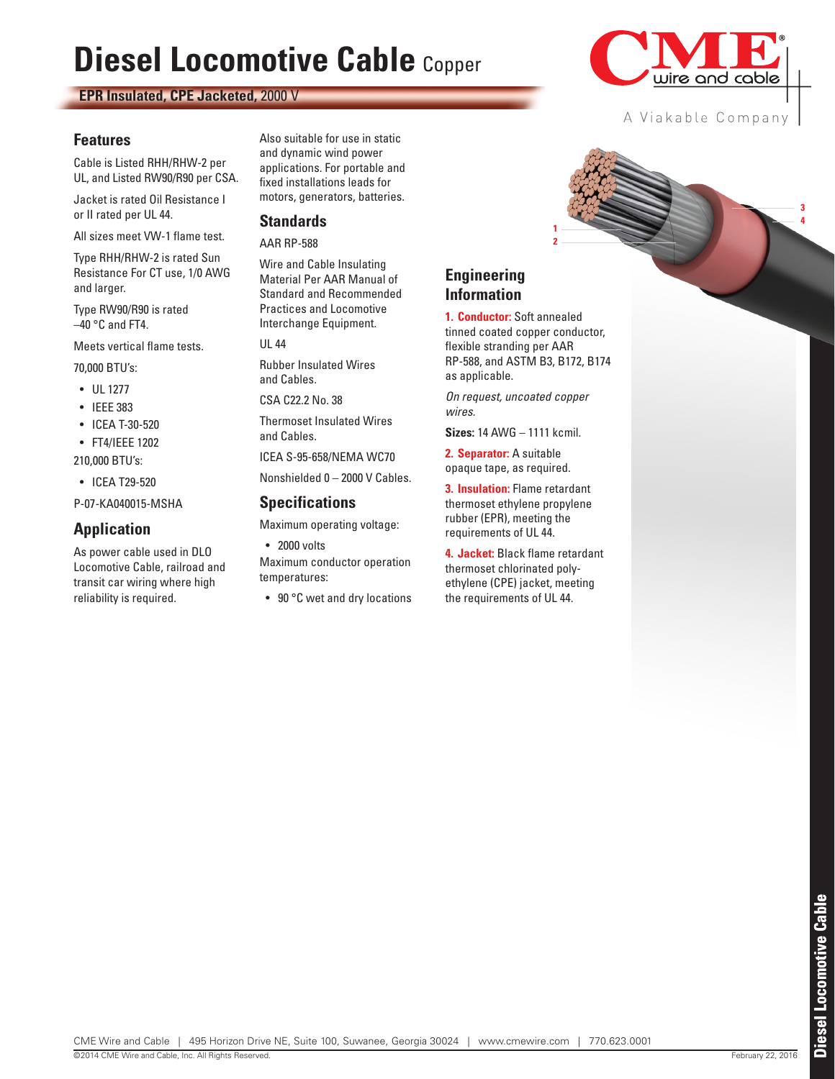# **Diesel Locomotive Cable** Copper

**EPR Insulated, CPE Jacketed,** 2000 V

#### **Features**

Cable is Listed RHH/RHW-2 per UL, and Listed RW90/R90 per CSA.

Jacket is rated Oil Resistance I or II rated per UL 44.

All sizes meet VW-1 flame test.

Type RHH/RHW-2 is rated Sun Resistance For CT use, 1/0 AWG and larger.

Type RW90/R90 is rated  $-40$  °C and FT4.

Meets vertical flame tests.

70,000 BTU's:

- UL 1277
- IEEE 383
- ICEA T-30-520
- FT4/IEEE 1202

210,000 BTU's:

• ICEA T29-520

P-07-KA040015-MSHA

#### **Application**

As power cable used in DLO Locomotive Cable, railroad and transit car wiring where high reliability is required.

Also suitable for use in static and dynamic wind power applications. For portable and fixed installations leads for motors, generators, batteries.

#### **Standards**

AAR RP-588

Wire and Cable Insulating Material Per AAR Manual of Standard and Recommended Practices and Locomotive Interchange Equipment.

UL 44

Rubber Insulated Wires and Cables.

CSA C22.2 No. 38

Thermoset Insulated Wires and Cables.

ICEA S-95-658/NEMA WC70

Nonshielded 0 – 2000 V Cables.

#### **Specifications**

Maximum operating voltage:

• 2000 volts

Maximum conductor operation temperatures:

• 90 °C wet and dry locations



**1. Conductor:** Soft annealed tinned coated copper conductor, flexible stranding per AAR RP-588, and ASTM B3, B172, B174 as applicable.

*On request, uncoated copper wires.*

**Sizes:** 14 AWG – 1111 kcmil.

**2. Separator:** A suitable opaque tape, as required.

**3. Insulation:** Flame retardant thermoset ethylene propylene rubber (EPR), meeting the requirements of UL 44.

**4. Jacket:** Black flame retardant thermoset chlorinated polyethylene (CPE) jacket, meeting the requirements of UL 44.



**4 3**

A Viakable Company **1 2**